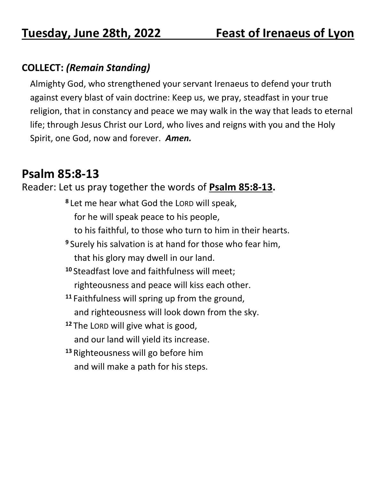## **COLLECT:** *(Remain Standing)*

Almighty God, who strengthened your servant Irenaeus to defend your truth against every blast of vain doctrine: Keep us, we pray, steadfast in your true religion, that in constancy and peace we may walk in the way that leads to eternal life; through Jesus Christ our Lord, who lives and reigns with you and the Holy Spirit, one God, now and forever. *Amen.*

## **Psalm 85:8-13**

Reader: Let us pray together the words of **Psalm 85:8-13.**

**8** Let me hear what God the LORD will speak, for he will speak peace to his people, to his faithful, to those who turn to him in their hearts. **<sup>9</sup>** Surely his salvation is at hand for those who fear him, that his glory may dwell in our land. **<sup>10</sup>** Steadfast love and faithfulness will meet; righteousness and peace will kiss each other. **<sup>11</sup>** Faithfulness will spring up from the ground, and righteousness will look down from the sky. **<sup>12</sup>** The LORD will give what is good, and our land will yield its increase. **<sup>13</sup>** Righteousness will go before him and will make a path for his steps.